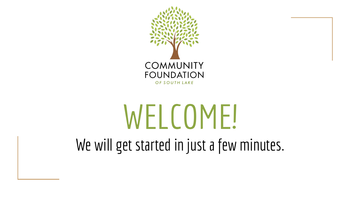

# WELCOME! We will get started in just a few minutes.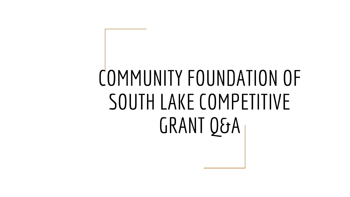# COMMUNITY FOUNDATION OF SOUTH LAKE COMPETITIVE GRANT Q&A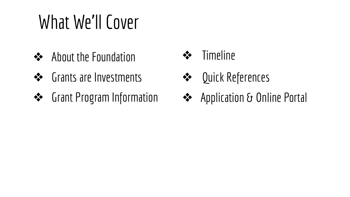## What We'll Cover

- ❖ About the Foundation
- ❖ Grants are Investments
- ❖ Grant Program Information
- ❖ Timeline
- ❖ Quick References
- ❖ Application & Online Portal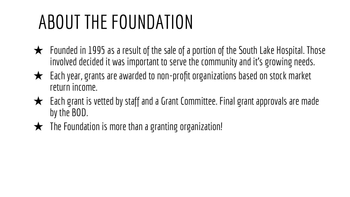## ABOUT THE FOUNDATION

- $\bigstar$  Founded in 1995 as a result of the sale of a portion of the South Lake Hospital. Those involved decided it was important to serve the community and it's growing needs.
- ★ Each year, grants are awarded to non-profit organizations based on stock market return income.
- $\bigstar$  Each grant is vetted by staff and a Grant Committee. Final grant approvals are made by the BOD.
- $\bigstar$  The Foundation is more than a granting organization!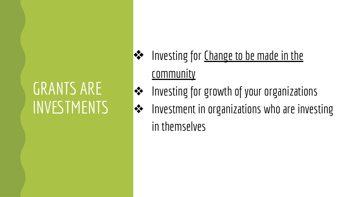### GRANTS ARE INVESTMENTS

- ◆◆ Investing for Change to be made in the **community**
- ◆ Investing for growth of your organizations
- ◆ Investment in organizations who are investing

in themselves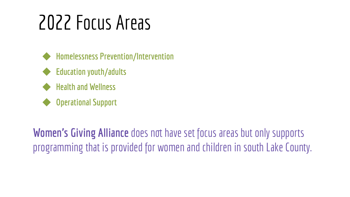## 2022 Focus Areas



- ◆ **Education youth/adults**
- ◆ **Health and Wellness**
- **Operational Support**

**Women's Giving Alliance** does not have set focus areas but only supports programming that is provided for women and children in south Lake County.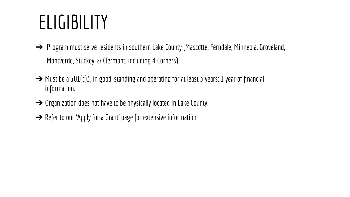### **ELIGIBILITY**

- → Program must serve residents in southern Lake County (Mascotte, Ferndale, Minneola, Groveland, Montverde, Stuckey, & Clermont, including 4 Corners)
- $\rightarrow$  Must be a 501(c)3, in good-standing and operating for at least 3 years; 1 year of financial information.
- → Organization does not have to be physically located in Lake County.
- → Refer to our 'Apply for a Grant' page for extensive information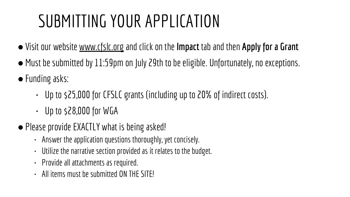### SUBMITTING YOUR APPLICATION

- ●Visit our website [www.cfslc.org](http://www.cfslc.org/) and click on the **Impact** tab and then **Apply for a Grant**
- ●Must be submitted by 11:59pm on July 29th to be eligible. Unfortunately, no exceptions.
- Funding asks:
	- Up to \$25,000 for CFSLC grants (including up to 20% of indirect costs).
	- $\cdot$  Up to \$28,000 for WGA
- Please provide EXACTLY what is being asked!
	- Answer the application questions thoroughly, yet concisely.
	- Utilize the narrative section provided as it relates to the budget.
	- Provide all attachments as required.
	- All items must be submitted ON THE SITE!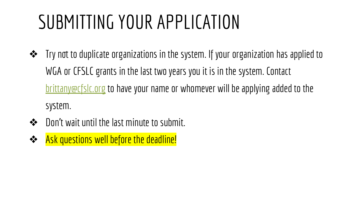## SUBMITTING YOUR APPLICATION

- ❖ Try not to duplicate organizations in the system. If your organization has applied to WGA or CFSLC grants in the last two years you it is in the system. Contact [brittany@cfslc.org](mailto:brittany@cfslc.org) to have your name or whomever will be applying added to the system.
- ❖ Don't wait until the last minute to submit.
- ❖ Ask questions well before the deadline!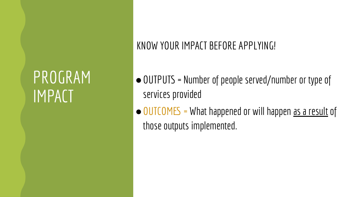### PROGRAM IMPACT

#### KNOW YOUR IMPACT BEFORE APPLYING!

- ●OUTPUTS = Number of people served/number or type of services provided
- ●OUTCOMES = What happened or will happen as a result of those outputs implemented.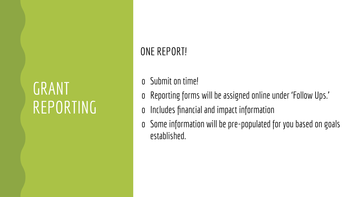### GRANT REPORTING

#### ONE REPORT!

- o Submit on time!
- o Reporting forms will be assigned online under 'Follow Ups.'
- o Includes financial and impact information
- o Some information will be pre-populated for you based on goals established.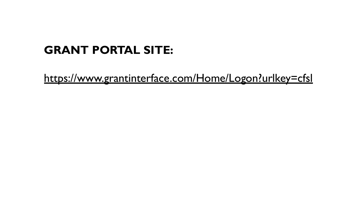#### **GRANT PORTAL SITE:**

<https://www.grantinterface.com/Home/Logon?urlkey=cfsl>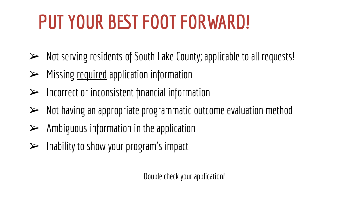## **PUT YOUR BEST FOOT FORWARD!**

- ➢ Not serving residents of South Lake County; applicable to all requests!
- $\triangleright$  Missing required application information
- $\triangleright$  Incorrect or inconsistent financial information
- ➢ Not having an appropriate programmatic outcome evaluation method
- $\triangleright$  Ambiguous information in the application
- $\triangleright$  Inability to show your program's impact

Double check your application!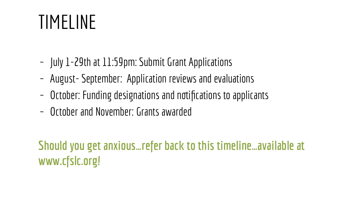### TIMELINE

- ~ July 1-29th at 11:59pm: Submit Grant Applications
- ~ August- September: Application reviews and evaluations
- ~ October: Funding designations and notifications to applicants
- ~ October and November: Grants awarded

#### **Should you get anxious…refer back to this timeline…available at www.cfslc.org!**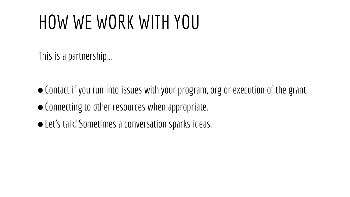### HOW WE WORK WITH YOU

This is a partnership…

- ●Contact if you run into issues with your program, org or execution of the grant.
- ●Connecting to other resources when appropriate.
- Let's talk! Sometimes a conversation sparks ideas.